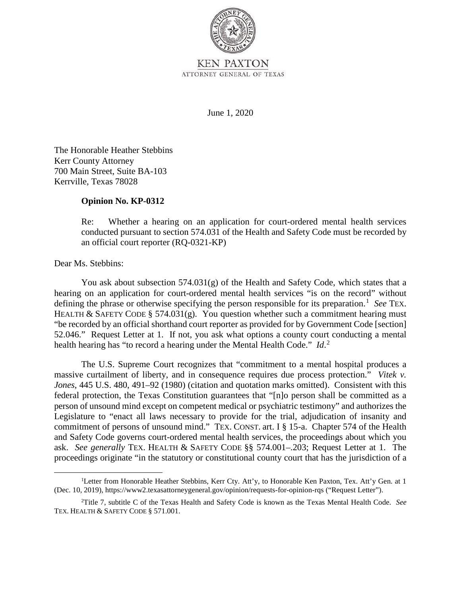

**KEN PAXTON** ATTORNEY GENERAL OF TEXAS

June 1, 2020

 The Honorable Heather Stebbins Kerr County Attorney 700 Main Street, Suite BA-103 Kerrville, Texas 78028

## **Opinion No. KP-0312**

Re: Whether a hearing on an application for court-ordered mental health services conducted pursuant to section 574.031 of the Health and Safety Code must be recorded by an official court reporter (RQ-0321-KP)

## Dear Ms. Stebbins:

 You ask about subsection 574.031(g) of the Health and Safety Code, which states that a defining the phrase or otherwise specifying the person responsible for its preparation.<sup>1</sup> See TEX. 52.046." Request Letter at 1. If not, you ask what options a county court conducting a mental health hearing has "to record a hearing under the Mental Health Code." *Id*. 2 hearing on an application for court-ordered mental health services "is on the record" without HEALTH & SAFETY CODE § 574.031(g). You question whether such a commitment hearing must "be recorded by an official shorthand court reporter as provided for by Government Code [section]

 massive curtailment of liberty, and in consequence requires due process protection." *Vitek v.*  Legislature to "enact all laws necessary to provide for the trial, adjudication of insanity and commitment of persons of unsound mind." TEX. CONST. art. I § 15-a. Chapter 574 of the Health ask. *See generally* TEX. HEALTH & SAFETY CODE §§ 574.001–.203; Request Letter at 1. The proceedings originate "in the statutory or constitutional county court that has the jurisdiction of a The U.S. Supreme Court recognizes that "commitment to a mental hospital produces a *Jones*, 445 U.S. 480, 491–92 (1980) (citation and quotation marks omitted). Consistent with this federal protection, the Texas Constitution guarantees that "[n]o person shall be committed as a person of unsound mind except on competent medical or psychiatric testimony" and authorizes the and Safety Code governs court-ordered mental health services, the proceedings about which you

 (Dec. 10, 2019), https://www2.texasattorneygeneral.gov/opinion/requests-for-opinion-rqs ("Request Letter"). <sup>1</sup>Letter from Honorable Heather Stebbins, Kerr Cty. Att'y, to Honorable Ken Paxton, Tex. Att'y Gen. at 1

 2 Title 7, subtitle C of the Texas Health and Safety Code is known as the Texas Mental Health Code. *See*  TEX. HEALTH & SAFETY CODE § 571.001.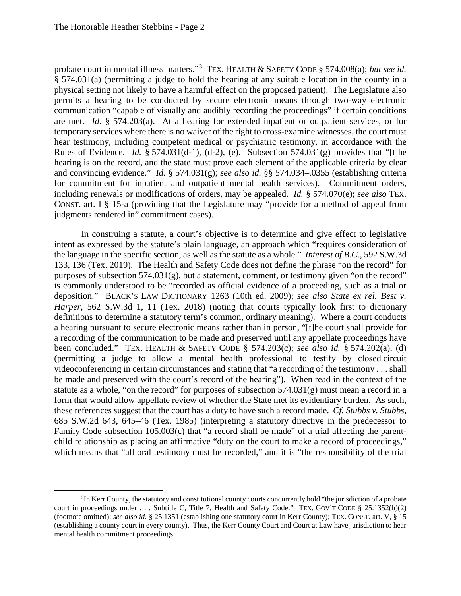physical setting not likely to have a harmful effect on the proposed patient). The Legislature also communication "capable of visually and audibly recording the proceedings" if certain conditions are met. *Id.* § 574.203(a). At a hearing for extended inpatient or outpatient services, or for Rules of Evidence. *Id.* § 574.031(d-1), (d-2), (e). Subsection 574.031(g) provides that "[t]he and convincing evidence." *Id.* § 574.031(g); *see also id.* §§ 574.034–.0355 (establishing criteria for commitment for inpatient and outpatient mental health services). Commitment orders, CONST. art. I § 15-a (providing that the Legislature may "provide for a method of appeal from probate court in mental illness matters."<sup>3</sup> TEX. HEALTH & SAFETY CODE § 574.008(a); *but see id.*  § 574.031(a) (permitting a judge to hold the hearing at any suitable location in the county in a permits a hearing to be conducted by secure electronic means through two-way electronic temporary services where there is no waiver of the right to cross-examine witnesses, the court must hear testimony, including competent medical or psychiatric testimony, in accordance with the hearing is on the record, and the state must prove each element of the applicable criteria by clear including renewals or modifications of orders, may be appealed. *Id.* § 574.070(e); *see also* TEX. judgments rendered in" commitment cases).

 133, 136 (Tex. 2019). The Health and Safety Code does not define the phrase "on the record" for deposition." BLACK'S LAW DICTIONARY 1263 (10th ed. 2009); *see also State ex rel. Best v.*  definitions to determine a statutory term's common, ordinary meaning). Where a court conducts been concluded." TEX. HEALTH & SAFETY CODE § 574.203(c); *see also id.* § 574.202(a), (d) form that would allow appellate review of whether the State met its evidentiary burden. As such, these references suggest that the court has a duty to have such a record made. *Cf. Stubbs v. Stubbs*, 685 S.W.2d 643, 645–46 (Tex. 1985) (interpreting a statutory directive in the predecessor to In construing a statute, a court's objective is to determine and give effect to legislative intent as expressed by the statute's plain language, an approach which "requires consideration of the language in the specific section, as well as the statute as a whole." *Interest of B.C.*, 592 S.W.3d purposes of subsection  $574.031(g)$ , but a statement, comment, or testimony given "on the record" is commonly understood to be "recorded as official evidence of a proceeding, such as a trial or *Harper*, 562 S.W.3d 1, 11 (Tex. 2018) (noting that courts typically look first to dictionary a hearing pursuant to secure electronic means rather than in person, "[t]he court shall provide for a recording of the communication to be made and preserved until any appellate proceedings have (permitting a judge to allow a mental health professional to testify by closed circuit videoconferencing in certain circumstances and stating that "a recording of the testimony . . . shall be made and preserved with the court's record of the hearing"). When read in the context of the statute as a whole, "on the record" for purposes of subsection  $574.031(g)$  must mean a record in a Family Code subsection 105.003(c) that "a record shall be made" of a trial affecting the parentchild relationship as placing an affirmative "duty on the court to make a record of proceedings," which means that "all oral testimony must be recorded," and it is "the responsibility of the trial

 mental health commitment proceedings. <sup>3</sup>In Kerr County, the statutory and constitutional county courts concurrently hold "the jurisdiction of a probate court in proceedings under . . . Subtitle C, Title 7, Health and Safety Code." TEX. GOV'T CODE § 25.1352(b)(2) (footnote omitted); *see also id.* § 25.1351 (establishing one statutory court in Kerr County); TEX. CONST. art. V, § 15 (establishing a county court in every county). Thus, the Kerr County Court and Court at Law have jurisdiction to hear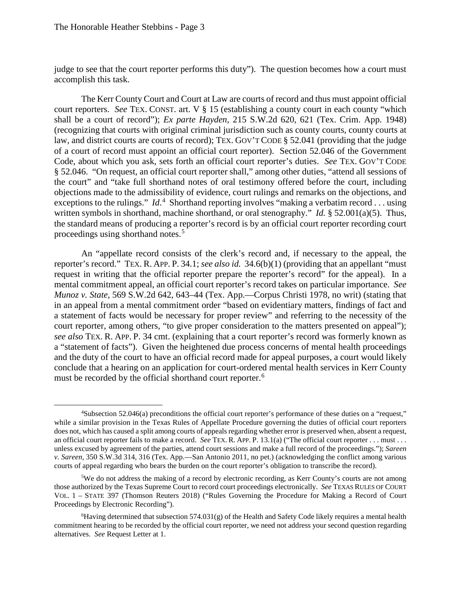judge to see that the court reporter performs this duty"). The question becomes how a court must accomplish this task.

 The Kerr County Court and Court at Law are courts of record and thus must appoint official (recognizing that courts with original criminal jurisdiction such as county courts, county courts at objections made to the admissibility of evidence, court rulings and remarks on the objections, and written symbols in shorthand, machine shorthand, or oral stenography." *Id.* § 52.001(a)(5). Thus, court reporters. *See* TEX. CONST. art. V § 15 (establishing a county court in each county "which shall be a court of record"); *Ex parte Hayden*, 215 S.W.2d 620, 621 (Tex. Crim. App. 1948) law, and district courts are courts of record); TEX. GOV'T CODE § 52.041 (providing that the judge of a court of record must appoint an official court reporter). Section 52.046 of the Government Code, about which you ask, sets forth an official court reporter's duties. *See* TEX. GOV'T CODE § 52.046. "On request, an official court reporter shall," among other duties, "attend all sessions of the court" and "take full shorthand notes of oral testimony offered before the court, including exceptions to the rulings." *Id*.<sup>4</sup> Shorthand reporting involves "making a verbatim record . . . using the standard means of producing a reporter's record is by an official court reporter recording court proceedings using shorthand notes.<sup>5</sup>

 reporter's record." TEX. R. APP. P. 34.1; *see also id.* 34.6(b)(1) (providing that an appellant "must request in writing that the official reporter prepare the reporter's record" for the appeal). In a mental commitment appeal, an official court reporter's record takes on particular importance. *See*  in an appeal from a mental commitment order "based on evidentiary matters, findings of fact and *see also* TEX. R. APP. P. 34 cmt. (explaining that a court reporter's record was formerly known as a "statement of facts"). Given the heightened due process concerns of mental health proceedings and the duty of the court to have an official record made for appeal purposes, a court would likely must be recorded by the official shorthand court reporter.<sup>6</sup> An "appellate record consists of the clerk's record and, if necessary to the appeal, the *Munoz v. State*, 569 S.W.2d 642, 643–44 (Tex. App.—Corpus Christi 1978, no writ) (stating that a statement of facts would be necessary for proper review" and referring to the necessity of the court reporter, among others, "to give proper consideration to the matters presented on appeal"); conclude that a hearing on an application for court-ordered mental health services in Kerr County

 while a similar provision in the Texas Rules of Appellate Procedure governing the duties of official court reporters does not, which has caused a split among courts of appeals regarding whether error is preserved when, absent a request, an official court reporter fails to make a record. *See* TEX. R. APP. P. 13.1(a) ("The official court reporter . . . must . . . <sup>4</sup>Subsection 52.046(a) preconditions the official court reporter's performance of these duties on a "request," unless excused by agreement of the parties, attend court sessions and make a full record of the proceedings."); *Sareen v. Sareen,* 350 S.W.3d 314, 316 (Tex. App.—San Antonio 2011, no pet.) (acknowledging the conflict among various courts of appeal regarding who bears the burden on the court reporter's obligation to transcribe the record).

 those authorized by the Texas Supreme Court to record court proceedings electronically. *See* TEXAS RULES OF COURT VOL. 1 – STATE 397 (Thomson Reuters 2018) ("Rules Governing the Procedure for Making a Record of Court <sup>5</sup>We do not address the making of a record by electronic recording, as Kerr County's courts are not among Proceedings by Electronic Recording").

 alternatives. *See* Request Letter at 1. 6 Having determined that subsection 574.031(g) of the Health and Safety Code likely requires a mental health commitment hearing to be recorded by the official court reporter, we need not address your second question regarding